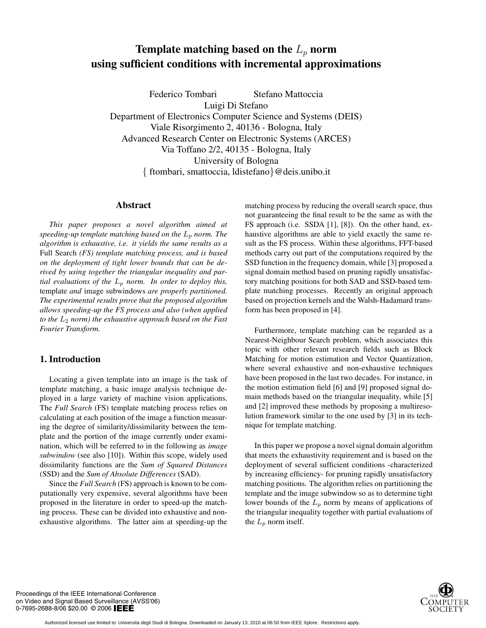# **Template matching based on the**  $L_p$  **norm using sufficient conditions with incremental approximations**

Federico Tombari Stefano Mattoccia

Luigi Di Stefano

Department of Electronics Computer Science and Systems (DEIS) Viale Risorgimento 2, 40136 - Bologna, Italy Advanced Research Center on Electronic Systems (ARCES) Via Toffano 2/2, 40135 - Bologna, Italy University of Bologna { ftombari, smattoccia, ldistefano}@deis.unibo.it

## **Abstract**

*This paper proposes a novel algorithm aimed at speeding-up template matching based on the*  $L_p$  *norm. The algorithm is exhaustive, i.e. it yields the same results as a* Full Search *(FS) template matching process, and is based on the deployment of tight lower bounds that can be derived by using together the triangular inequality and partial evaluations of the*  $L_p$  *norm. In order to deploy this,* template *and* image subwindows *are properly partitioned. The experimental results prove that the proposed algorithm allows speeding-up the FS process and also (when applied to the*  $L_2$  *norm) the exhaustive approach based on the Fast Fourier Transform.*

## **1. Introduction**

Locating a given template into an image is the task of template matching, a basic image analysis technique deployed in a large variety of machine vision applications. The *Full Search* (FS) template matching process relies on calculating at each position of the image a function measuring the degree of similarity/dissimilarity between the template and the portion of the image currently under examination, which will be referred to in the following as *image subwindow* (see also [10]). Within this scope, widely used dissimilarity functions are the *Sum of Squared Distances* (SSD) and the *Sum of Absolute Differences* (SAD).

Since the *Full Search* (FS) approach is known to be computationally very expensive, several algorithms have been proposed in the literature in order to speed-up the matching process. These can be divided into exhaustive and nonexhaustive algorithms. The latter aim at speeding-up the

matching process by reducing the overall search space, thus not guaranteeing the final result to be the same as with the FS approach (i.e. SSDA [1], [8]). On the other hand, exhaustive algorithms are able to yield exactly the same result as the FS process. Within these algorithms, FFT-based methods carry out part of the computations required by the SSD function in the frequency domain, while [3] proposed a signal domain method based on pruning rapidly unsatisfactory matching positions for both SAD and SSD-based template matching processes. Recently an original approach based on projection kernels and the Walsh-Hadamard transform has been proposed in [4].

Furthermore, template matching can be regarded as a Nearest-Neighbour Search problem, which associates this topic with other relevant research fields such as Block Matching for motion estimation and Vector Quantization, where several exhaustive and non-exhaustive techniques have been proposed in the last two decades. For instance, in the motion estimation field [6] and [9] proposed signal domain methods based on the triangular inequality, while [5] and [2] improved these methods by proposing a multiresolution framework similar to the one used by [3] in its technique for template matching.

In this paper we propose a novel signal domain algorithm that meets the exhaustivity requirement and is based on the deployment of several sufficient conditions -characterized by increasing efficiency- for pruning rapidly unsatisfactory matching positions. The algorithm relies on partitioning the template and the image subwindow so as to determine tight lower bounds of the  $L_p$  norm by means of applications of the triangular inequality together with partial evaluations of the  $L_p$  norm itself.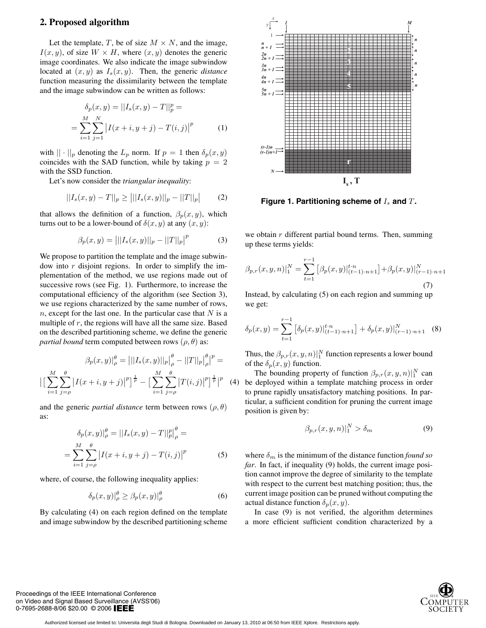#### **2. Proposed algorithm**

Let the template, T, be of size  $M \times N$ , and the image,  $I(x, y)$ , of size  $W \times H$ , where  $(x, y)$  denotes the generic image coordinates. We also indicate the image subwindow located at  $(x, y)$  as  $I_s(x, y)$ . Then, the generic *distance* function measuring the dissimilarity between the template and the image subwindow can be written as follows:

$$
\delta_p(x, y) = ||I_s(x, y) - T||_p^p =
$$
  
= 
$$
\sum_{i=1}^M \sum_{j=1}^N |I(x + i, y + j) - T(i, j)|^p
$$
 (1)

with  $|| \cdot ||_p$  denoting the  $L_p$  norm. If  $p = 1$  then  $\delta_p(x, y)$ coincides with the SAD function, while by taking  $p = 2$ with the SSD function.

Let's now consider the *triangular inequality*:

$$
||I_s(x,y) - T||_p \ge |||I_s(x,y)||_p - ||T||_p| \qquad (2)
$$

that allows the definition of a function,  $\beta_p(x, y)$ , which turns out to be a lower-bound of  $\delta(x, y)$  at any  $(x, y)$ :

$$
\beta_p(x, y) = |||I_s(x, y)||_p - ||T||_p|^p \tag{3}
$$

We propose to partition the template and the image subwindow into  $r$  disjoint regions. In order to simplify the implementation of the method, we use regions made out of successive rows (see Fig. 1). Furthermore, to increase the computational efficiency of the algorithm (see Section 3), we use regions characterized by the same number of rows,  $n$ , except for the last one. In the particular case that  $N$  is a multiple of  $r$ , the regions will have all the same size. Based on the described partitioning scheme, we define the generic *partial bound* term computed between rows  $(\rho, \theta)$  as:

$$
\beta_p(x, y)|_{\rho}^{\theta} = |||I_s(x, y)||_p \Big|_{\rho}^{\theta} - ||T||_p \Big|_{\rho}^{\theta} \Big|^{p} =
$$

$$
\Big| \Big[ \sum_{i=1}^{M} \sum_{j=\rho}^{\theta} |I(x+i, y+j)|^p \Big]^{1 \over p} - \Big[ \sum_{i=1}^{M} \sum_{j=\rho}^{\theta} |T(i, j)|^p \Big]^{1 \over p} \Big|^{p} \quad (4)
$$

and the generic *partial distance* term between rows  $(\rho, \theta)$ as:

$$
\delta_p(x, y)|_{\rho}^{\theta} = ||I_s(x, y) - T||_p^{\theta}|_{\rho}^{\theta} =
$$
  
= 
$$
\sum_{i=1}^{M} \sum_{j=\rho}^{\theta} |I(x + i, y + j) - T(i, j)|^p
$$
(5)

where, of course, the following inequality applies:

$$
\delta_p(x, y)|_{\rho}^{\theta} \ge \beta_p(x, y)|_{\rho}^{\theta} \tag{6}
$$

By calculating (4) on each region defined on the template and image subwindow by the described partitioning scheme



**Figure 1. Partitioning scheme of**  $I_s$  **and**  $T$ **.** 

we obtain  $r$  different partial bound terms. Then, summing up these terms yields:

$$
\beta_{p,r}(x,y,n)|_1^N = \sum_{t=1}^{r-1} \left[ \beta_p(x,y) \big|_{(t-1)\cdot n+1}^{t\cdot n} \right] + \beta_p(x,y) \big|_{(r-1)\cdot n+1}^N
$$
\n(7)

Instead, by calculating (5) on each region and summing up we get:

$$
\delta_p(x,y) = \sum_{t=1}^{r-1} \left[ \delta_p(x,y) \Big|_{(t-1)\cdot n+1}^{t\cdot n} \right] + \delta_p(x,y) \Big|_{(r-1)\cdot n+1}^{N} \quad (8)
$$

Thus, the  $\beta_{p,r}(x, y, n)|_1^N$  function represents a lower bound of the  $\delta_p(x, y)$  function.

The bounding property of function  $\beta_{p,r}(x, y, n)|_1^N$  can be deployed within a template matching process in order to prune rapidly unsatisfactory matching positions. In particular, a sufficient condition for pruning the current image position is given by:

$$
\beta_{p,r}(x,y,n)|_1^N > \delta_m \tag{9}
$$

where  $\delta_m$  is the minimum of the distance function *found so far*. In fact, if inequality (9) holds, the current image position cannot improve the degree of similarity to the template with respect to the current best matching position; thus, the current image position can be pruned without computing the actual distance function  $\delta_p(x, y)$ .

In case (9) is not verified, the algorithm determines a more efficient sufficient condition characterized by a

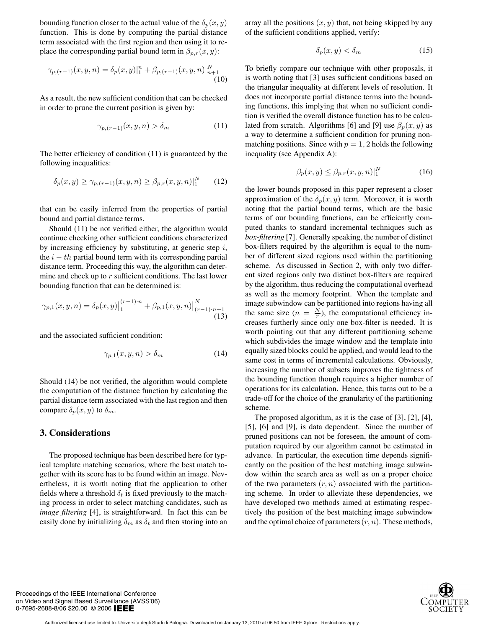bounding function closer to the actual value of the  $\delta_p(x, y)$ function. This is done by computing the partial distance term associated with the first region and then using it to replace the corresponding partial bound term in  $\beta_{p,r}(x, y)$ :

$$
\gamma_{p,(r-1)}(x,y,n) = \delta_p(x,y)|_1^n + \beta_{p,(r-1)}(x,y,n)|_{n+1}^N
$$
\n(10)

As a result, the new sufficient condition that can be checked in order to prune the current position is given by:

$$
\gamma_{p,(r-1)}(x,y,n) > \delta_m \tag{11}
$$

The better efficiency of condition (11) is guaranteed by the following inequalities:

$$
\delta_p(x, y) \ge \gamma_{p, (r-1)}(x, y, n) \ge \beta_{p, r}(x, y, n)|_1^N \qquad (12)
$$

that can be easily inferred from the properties of partial bound and partial distance terms.

Should (11) be not verified either, the algorithm would continue checking other sufficient conditions characterized by increasing efficiency by substituting, at generic step  $i$ , the  $i - th$  partial bound term with its corresponding partial distance term. Proceeding this way, the algorithm can determine and check up to  $r$  sufficient conditions. The last lower bounding function that can be determined is:

$$
\gamma_{p,1}(x,y,n) = \delta_p(x,y) \Big|_1^{(r-1)\cdot n} + \beta_{p,1}(x,y,n) \Big|_{(r-1)\cdot n+1}^N
$$
\n(13)

and the associated sufficient condition:

$$
\gamma_{p,1}(x, y, n) > \delta_m \tag{14}
$$

Should (14) be not verified, the algorithm would complete the computation of the distance function by calculating the partial distance term associated with the last region and then compare  $\delta_p(x, y)$  to  $\delta_m$ .

#### **3. Considerations**

The proposed technique has been described here for typical template matching scenarios, where the best match together with its score has to be found within an image. Nevertheless, it is worth noting that the application to other fields where a threshold  $\delta_t$  is fixed previously to the matching process in order to select matching candidates, such as *image filtering* [4], is straightforward. In fact this can be easily done by initializing  $\delta_m$  as  $\delta_t$  and then storing into an

array all the positions  $(x, y)$  that, not being skipped by any of the sufficient conditions applied, verify:

$$
\delta_p(x, y) < \delta_m \tag{15}
$$

To briefly compare our technique with other proposals, it is worth noting that [3] uses sufficient conditions based on the triangular inequality at different levels of resolution. It does not incorporate partial distance terms into the bounding functions, this implying that when no sufficient condition is verified the overall distance function has to be calculated from scratch. Algorithms [6] and [9] use  $\beta_p(x, y)$  as a way to determine a sufficient condition for pruning nonmatching positions. Since with  $p = 1, 2$  holds the following inequality (see Appendix A):

$$
\beta_p(x, y) \le \beta_{p,r}(x, y, n)|_1^N \tag{16}
$$

the lower bounds proposed in this paper represent a closer approximation of the  $\delta_p(x, y)$  term. Moreover, it is worth noting that the partial bound terms, which are the basic terms of our bounding functions, can be efficiently computed thanks to standard incremental techniques such as *box-filtering* [7]. Generally speaking, the number of distinct box-filters required by the algorithm is equal to the number of different sized regions used within the partitioning scheme. As discussed in Section 2, with only two different sized regions only two distinct box-filters are required by the algorithm, thus reducing the computational overhead as well as the memory footprint. When the template and image subwindow can be partitioned into regions having all the same size  $(n = \frac{N}{r})$ , the computational efficiency increases furtherly since only one box-filter is needed. It is worth pointing out that any different partitioning scheme which subdivides the image window and the template into equally sized blocks could be applied, and would lead to the same cost in terms of incremental calculations. Obviously, increasing the number of subsets improves the tightness of the bounding function though requires a higher number of operations for its calculation. Hence, this turns out to be a trade-off for the choice of the granularity of the partitioning scheme.

The proposed algorithm, as it is the case of [3], [2], [4], [5], [6] and [9], is data dependent. Since the number of pruned positions can not be foreseen, the amount of computation required by our algorithm cannot be estimated in advance. In particular, the execution time depends significantly on the position of the best matching image subwindow within the search area as well as on a proper choice of the two parameters  $(r, n)$  associated with the partitioning scheme. In order to alleviate these dependencies, we have developed two methods aimed at estimating respectively the position of the best matching image subwindow and the optimal choice of parameters  $(r, n)$ . These methods,

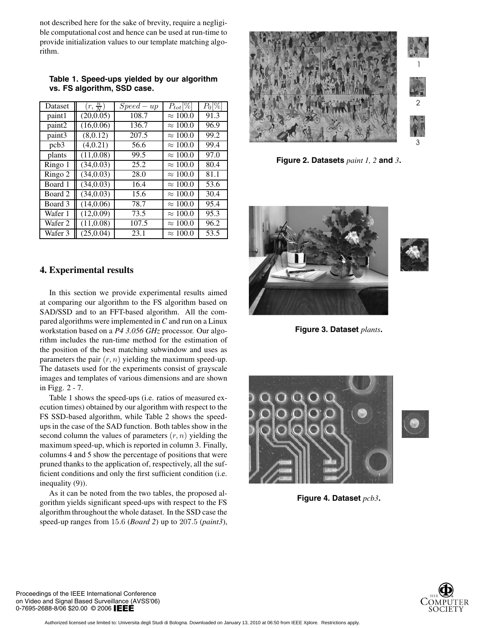not described here for the sake of brevity, require a negligible computational cost and hence can be used at run-time to provide initialization values to our template matching algorithm.

**Table 1. Speed-ups yielded by our algorithm vs. FS algorithm, SSD case.**

| Dataset | $(r, \frac{n}{N})$ | $Speed-up$ | $P_{tot}[\%]$   | $P_0[\%]$ |
|---------|--------------------|------------|-----------------|-----------|
| paint1  | (20,0.05)          | 108.7      | $\approx 100.0$ | 91.3      |
| paint2  | (16, 0.06)         | 136.7      | $\approx 100.0$ | 96.9      |
| paint3  | (8,0.12)           | 207.5      | $\approx 100.0$ | 99.2      |
| pcb3    | (4,0.21)           | 56.6       | $\approx 100.0$ | 99.4      |
| plants  | (11,0.08)          | 99.5       | $\approx 100.0$ | 97.0      |
| Ringo 1 | (34,0.03)          | 25.2       | $\approx 100.0$ | 80.4      |
| Ringo 2 | (34,0.03)          | 28.0       | $\approx 100.0$ | 81.1      |
| Board 1 | (34, 0.03)         | 16.4       | $\approx 100.0$ | 53.6      |
| Board 2 | (34,0.03)          | 15.6       | $\approx 100.0$ | 30.4      |
| Board 3 | (14,0.06)          | 78.7       | $\approx 100.0$ | 95.4      |
| Wafer 1 | (12,0.09)          | 73.5       | $\approx 100.0$ | 95.3      |
| Wafer 2 | (11, 0.08)         | 107.5      | $\approx 100.0$ | 96.2      |
| Wafer 3 | (25, 0.04)         | 23.1       | $\approx 100.0$ | 53.5      |

## **4. Experimental results**

In this section we provide experimental results aimed at comparing our algorithm to the FS algorithm based on SAD/SSD and to an FFT-based algorithm. All the compared algorithms were implemented in *C* and run on a Linux workstation based on a *P4 3.056 GHz* processor. Our algorithm includes the run-time method for the estimation of the position of the best matching subwindow and uses as parameters the pair  $(r, n)$  yielding the maximum speed-up. The datasets used for the experiments consist of grayscale images and templates of various dimensions and are shown in Figg. 2 - 7.

Table 1 shows the speed-ups (i.e. ratios of measured execution times) obtained by our algorithm with respect to the FS SSD-based algorithm, while Table 2 shows the speedups in the case of the SAD function. Both tables show in the second column the values of parameters  $(r, n)$  yielding the maximum speed-up, which is reported in column 3. Finally, columns 4 and 5 show the percentage of positions that were pruned thanks to the application of, respectively, all the sufficient conditions and only the first sufficient condition (i.e. inequality (9)).

As it can be noted from the two tables, the proposed algorithm yields significant speed-ups with respect to the FS algorithm throughout the whole dataset. In the SSD case the speed-up ranges from 15.6 (*Board 2*) up to 207.5 (*paint3*),



**Figure 2. Datasets** *paint 1, 2* **and** *3***.**





**Figure 3. Dataset** *plants***.**



**Figure 4. Dataset** *pcb3***.**

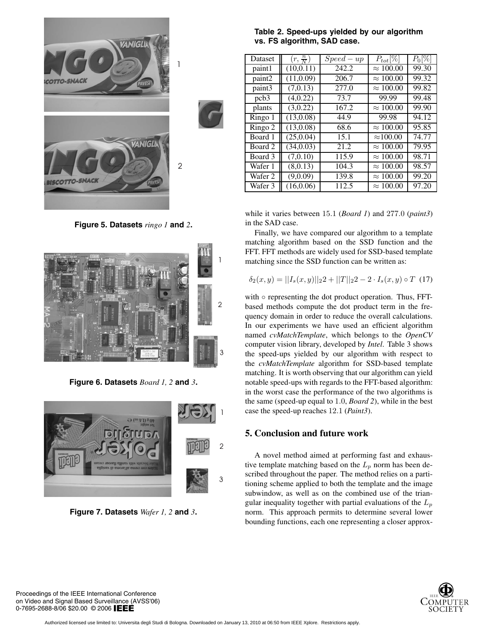

**Figure 5. Datasets** *ringo 1* **and** *2***.**



**Figure 6. Datasets** *Board 1, 2* **and** *3***.**



**Figure 7. Datasets** *Wafer 1, 2* **and** *3***.**

## **Table 2. Speed-ups yielded by our algorithm vs. FS algorithm, SAD case.**

| Dataset | $(r, \frac{n}{N})$ | $Speed-up$ | $P_{tot}[\%]$    | $P_0[\%]$ |
|---------|--------------------|------------|------------------|-----------|
| paint1  | (10, 0.11)         | 242.2      | $\approx 100.00$ | 99.30     |
| paint2  | (11,0.09)          | 206.7      | $\approx 100.00$ | 99.32     |
| paint3  | (7,0.13)           | 277.0      | $\approx 100.00$ | 99.82     |
| pcb3    | (4,0.22)           | 73.7       | 99.99            | 99.48     |
| plants  | (3,0.22)           | 167.2      | $\approx 100.00$ | 99.90     |
| Ringo 1 | (13,0.08)          | 44.9       | 99.98            | 94.12     |
| Ringo 2 | (13,0.08)          | 68.6       | $\approx 100.00$ | 95.85     |
| Board 1 | (25, 0.04)         | 15.1       | $\approx$ 100.00 | 74.77     |
| Board 2 | (34,0.03)          | 21.2       | $\approx 100.00$ | 79.95     |
| Board 3 | (7,0.10)           | 115.9      | $\approx 100.00$ | 98.71     |
| Wafer 1 | (8,0.13)           | 104.3      | $\approx 100.00$ | 98.57     |
| Wafer 2 | (9,0.09)           | 139.8      | $\approx 100.00$ | 99.20     |
| Wafer 3 | (16, 0.06)         | 112.5      | $\approx 100.00$ | 97.20     |

while it varies between 15.1 (*Board 1*) and 277.0 (*paint3*) in the SAD case.

Finally, we have compared our algorithm to a template matching algorithm based on the SSD function and the FFT. FFT methods are widely used for SSD-based template matching since the SSD function can be written as:

$$
\delta_2(x, y) = ||I_s(x, y)||_2 2 + ||T||_2 2 - 2 \cdot I_s(x, y) \circ T
$$
 (17)

with  $\circ$  representing the dot product operation. Thus, FFTbased methods compute the dot product term in the frequency domain in order to reduce the overall calculations. In our experiments we have used an efficient algorithm named *cvMatchTemplate*, which belongs to the *OpenCV* computer vision library, developed by *Intel*. Table 3 shows the speed-ups yielded by our algorithm with respect to the *cvMatchTemplate* algorithm for SSD-based template matching. It is worth observing that our algorithm can yield notable speed-ups with regards to the FFT-based algorithm: in the worst case the performance of the two algorithms is the same (speed-up equal to 1.0, *Board 2*), while in the best case the speed-up reaches 12.1 (*Paint3*).

## **5. Conclusion and future work**

A novel method aimed at performing fast and exhaustive template matching based on the  $L_p$  norm has been described throughout the paper. The method relies on a partitioning scheme applied to both the template and the image subwindow, as well as on the combined use of the triangular inequality together with partial evaluations of the  $L_p$ norm. This approach permits to determine several lower bounding functions, each one representing a closer approx-